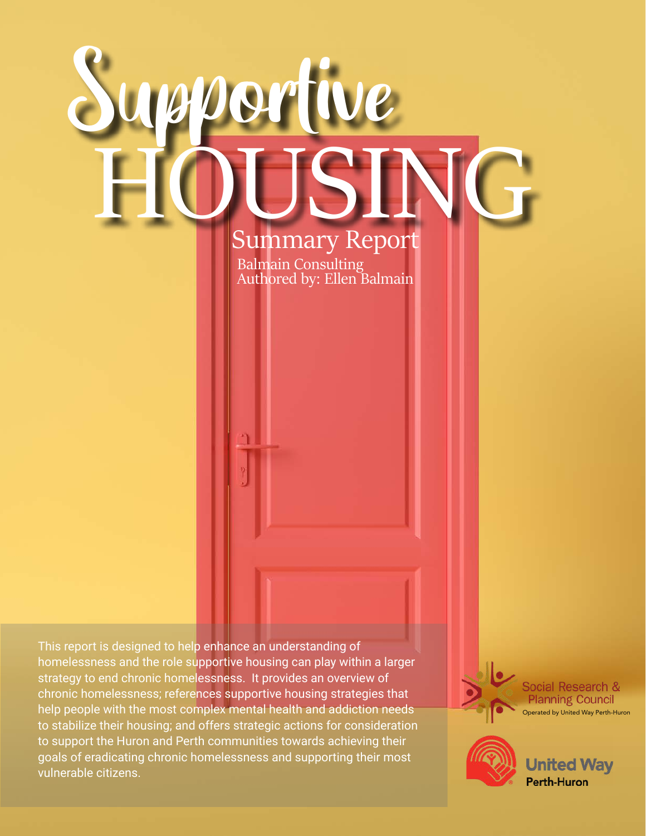# artive HOUSING Summary Report Balmain Consulting

Authored by: Ellen Balmain

This report is designed to help enhance an understanding of homelessness and the role supportive housing can play within a larger strategy to end chronic homelessness. It provides an overview of chronic homelessness; references supportive housing strategies that help people with the most complex mental health and addiction needs to stabilize their housing; and offers strategic actions for consideration to support the Huron and Perth communities towards achieving their goals of eradicating chronic homelessness and supporting their most vulnerable citizens.

Social Research & **Planning Council** Operated by United Way Perth-Huron



**United Way Perth-Huron**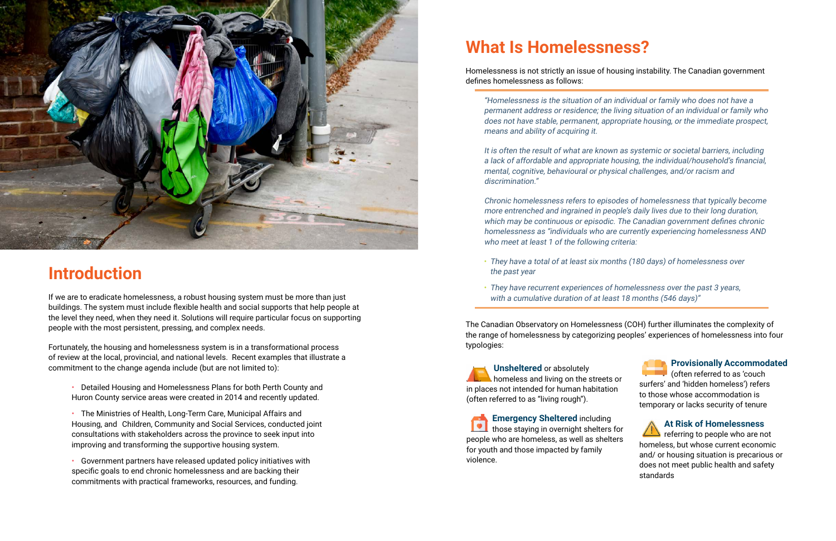

# **Introduction**

If we are to eradicate homelessness, a robust housing system must be more than just buildings. The system must include flexible health and social supports that help people at the level they need, when they need it. Solutions will require particular focus on supporting people with the most persistent, pressing, and complex needs.

Fortunately, the housing and homelessness system is in a transformational process of review at the local, provincial, and national levels. Recent examples that illustrate a commitment to the change agenda include (but are not limited to):

- Detailed Housing and Homelessness Plans for both Perth County and Huron County service areas were created in 2014 and recently updated.
- The Ministries of Health, Long-Term Care, Municipal Affairs and Housing, and Children, Community and Social Services, conducted joint consultations with stakeholders across the province to seek input into improving and transforming the supportive housing system.
- Government partners have released updated policy initiatives with specific goals to end chronic homelessness and are backing their commitments with practical frameworks, resources, and funding.

Chronic homelessness refers to episodes of homelessness that typically become more entrenched and ingrained in people's daily lives due to their long duration, which may be continuous or episodic. The Canadian government defines chronic homelessness as "individuals who are currently experiencing homelessness AND who meet at least 1 of the following criteria:

# **What Is Homelessness?**

### Homelessness is not strictly an issue of housing instability. The Canadian government

defines homelessness as follows:

"Homelessness is the situation of an individual or family who does not have a permanent address or residence; the living situation of an individual or family who does not have stable, permanent, appropriate housing, or the immediate prospect, means and ability of acquiring it.

It is often the result of what are known as systemic or societal barriers, including a lack of affordable and appropriate housing, the individual/household's financial, mental, cognitive, behavioural or physical challenges, and/or racism and discrimination."

- They have a total of at least six months (180 days) of homelessness over the past year
- They have recurrent experiences of homelessness over the past 3 years, with a cumulative duration of at least 18 months (546 days)"

The Canadian Observatory on Homelessness (COH) further illuminates the complexity of the range of homelessness by categorizing peoples' experiences of homelessness into four typologies:

**Unsheltered** or absolutely homeless and living on the streets or in places not intended for human habitation (often referred to as "living rough").

**Emergency Sheltered** including **those staying in overnight shelters for** people who are homeless, as well as shelters for youth and those impacted by family violence.

### **Provisionally Accommodated**

(often referred to as 'couch surfers' and 'hidden homeless') refers to those whose accommodation is temporary or lacks security of tenure

### **At Risk of Homelessness**

referring to people who are not homeless, but whose current economic and/ or housing situation is precarious or does not meet public health and safety standards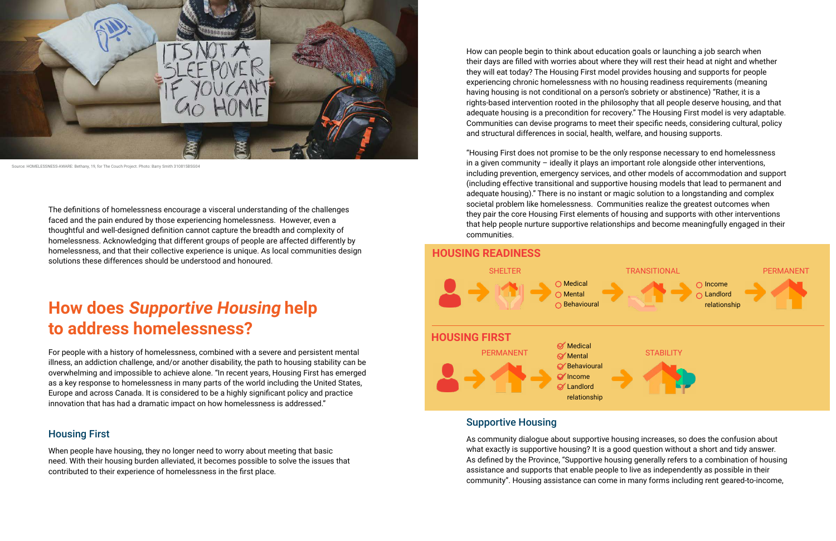The definitions of homelessness encourage a visceral understanding of the challenges faced and the pain endured by those experiencing homelessness. However, even a thoughtful and well-designed definition cannot capture the breadth and complexity of homelessness. Acknowledging that different groups of people are affected differently by homelessness, and that their collective experience is unique. As local communities design solutions these differences should be understood and honoured.

# **How does Supportive Housing help to address homelessness?**

For people with a history of homelessness, combined with a severe and persistent mental illness, an addiction challenge, and/or another disability, the path to housing stability can be overwhelming and impossible to achieve alone. "In recent years, Housing First has emerged as a key response to homelessness in many parts of the world including the United States, Europe and across Canada. It is considered to be a highly significant policy and practice innovation that has had a dramatic impact on how homelessness is addressed."

### Housing First

When people have housing, they no longer need to worry about meeting that basic need. With their housing burden alleviated, it becomes possible to solve the issues that contributed to their experience of homelessness in the first place.

How can people begin to think about education goals or launching a job search when their days are filled with worries about where they will rest their head at night and whether they will eat today? The Housing First model provides housing and supports for people experiencing chronic homelessness with no housing readiness requirements (meaning having housing is not conditional on a person's sobriety or abstinence) "Rather, it is a rights-based intervention rooted in the philosophy that all people deserve housing, and that adequate housing is a precondition for recovery." The Housing First model is very adaptable. Communities can devise programs to meet their specific needs, considering cultural, policy and structural differences in social, health, welfare, and housing supports.

"Housing First does not promise to be the only response necessary to end homelessness in a given community – ideally it plays an important role alongside other interventions, including prevention, emergency services, and other models of accommodation and support (including effective transitional and supportive housing models that lead to permanent and adequate housing)." There is no instant or magic solution to a longstanding and complex societal problem like homelessness. Communities realize the greatest outcomes when they pair the core Housing First elements of housing and supports with other interventions that help people nurture supportive relationships and become meaningfully engaged in their communities.

### Supportive Housing

As community dialogue about supportive housing increases, so does the confusion about what exactly is supportive housing? It is a good question without a short and tidy answer. As defined by the Province, "Supportive housing generally refers to a combination of housing assistance and supports that enable people to live as independently as possible in their community". Housing assistance can come in many forms including rent geared-to-income,



Source: HOMELESSNESS-AWARE: Bethany, 19, for The Couch Project. Photo: Barry Smith 310815BSG04

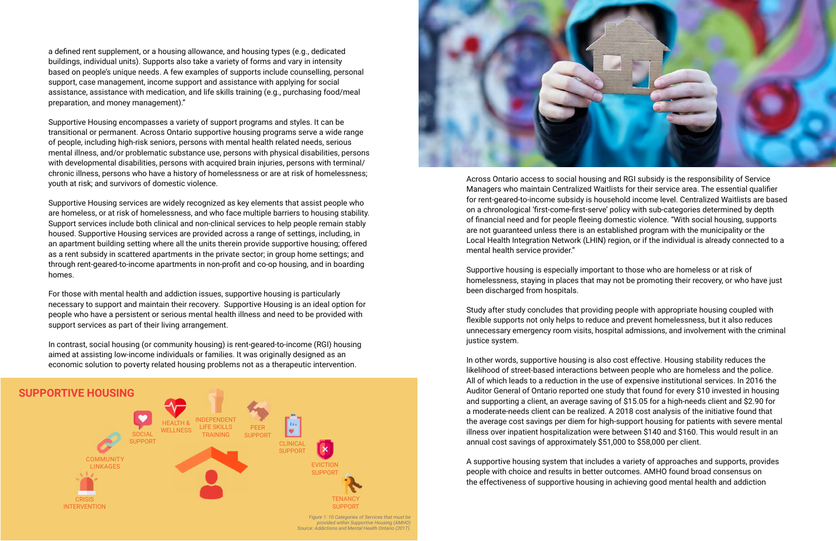a defined rent supplement, or a housing allowance, and housing types (e.g., dedicated buildings, individual units). Supports also take a variety of forms and vary in intensity based on people's unique needs. A few examples of supports include counselling, personal support, case management, income support and assistance with applying for social assistance, assistance with medication, and life skills training (e.g., purchasing food/meal preparation, and money management)."

Supportive Housing encompasses a variety of support programs and styles. It can be transitional or permanent. Across Ontario supportive housing programs serve a wide range of people, including high-risk seniors, persons with mental health related needs, serious mental illness, and/or problematic substance use, persons with physical disabilities, persons with developmental disabilities, persons with acquired brain injuries, persons with terminal/ chronic illness, persons who have a history of homelessness or are at risk of homelessness; youth at risk; and survivors of domestic violence.

Supportive Housing services are widely recognized as key elements that assist people who are homeless, or at risk of homelessness, and who face multiple barriers to housing stability. Support services include both clinical and non-clinical services to help people remain stably housed. Supportive Housing services are provided across a range of settings, including, in an apartment building setting where all the units therein provide supportive housing; offered as a rent subsidy in scattered apartments in the private sector; in group home settings; and through rent-geared-to-income apartments in non-profit and co-op housing, and in boarding homes.

For those with mental health and addiction issues, supportive housing is particularly necessary to support and maintain their recovery. Supportive Housing is an ideal option for people who have a persistent or serious mental health illness and need to be provided with support services as part of their living arrangement.

In contrast, social housing (or community housing) is rent-geared-to-income (RGI) housing aimed at assisting low-income individuals or families. It was originally designed as an economic solution to poverty related housing problems not as a therapeutic intervention.

Across Ontario access to social housing and RGI subsidy is the responsibility of Service Managers who maintain Centralized Waitlists for their service area. The essential qualifier for rent-geared-to-income subsidy is household income level. Centralized Waitlists are based on a chronological 'first-come-first-serve' policy with sub-categories determined by depth of financial need and for people fleeing domestic violence. "With social housing, supports are not guaranteed unless there is an established program with the municipality or the Local Health Integration Network (LHIN) region, or if the individual is already connected to a mental health service provider."

Supportive housing is especially important to those who are homeless or at risk of homelessness, staying in places that may not be promoting their recovery, or who have just been discharged from hospitals.

Study after study concludes that providing people with appropriate housing coupled with flexible supports not only helps to reduce and prevent homelessness, but it also reduces unnecessary emergency room visits, hospital admissions, and involvement with the criminal justice system.

In other words, supportive housing is also cost effective. Housing stability reduces the likelihood of street-based interactions between people who are homeless and the police. All of which leads to a reduction in the use of expensive institutional services. In 2016 the Auditor General of Ontario reported one study that found for every \$10 invested in housing and supporting a client, an average saving of \$15.05 for a high-needs client and \$2.90 for a moderate-needs client can be realized. A 2018 cost analysis of the initiative found that the average cost savings per diem for high-support housing for patients with severe mental illness over inpatient hospitalization were between \$140 and \$160. This would result in an annual cost savings of approximately \$51,000 to \$58,000 per client.

A supportive housing system that includes a variety of approaches and supports, provides people with choice and results in better outcomes. AMHO found broad consensus on the effectiveness of supportive housing in achieving good mental health and addiction





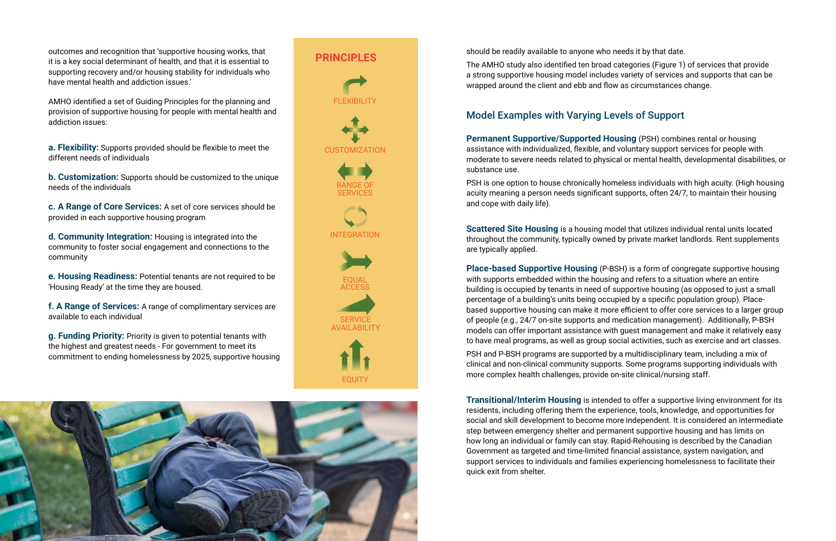outcomes and recognition that 'supportive housing works, that it is a key social determinant of health, and that it is essential to supporting recovery and/or housing stability for individuals who have mental health and addiction issues.'

AMHO identified a set of Guiding Principles for the planning and provision of supportive housing for people with mental health and addiction issues:

**a. Flexibility:** Supports provided should be flexible to meet the different needs of individuals

**b. Customization:** Supports should be customized to the unique needs of the individuals

**c. A Range of Core Services:** A set of core services should be provided in each supportive housing program

**d. Community Integration:** Housing is integrated into the community to foster social engagement and connections to the community

**e. Housing Readiness:** Potential tenants are not required to be 'Housing Ready' at the time they are housed.

**f. A Range of Services:** A range of complimentary services are available to each individual

**g. Funding Priority:** Priority is given to potential tenants with the highest and greatest needs - For government to meet its commitment to ending homelessness by 2025, supportive housing should be readily available to anyone who needs it by that date.

The AMHO study also identified ten broad categories (Figure 1) of services that provide a strong supportive housing model includes variety of services and supports that can be wrapped around the client and ebb and flow as circumstances change.

### Model Examples with Varying Levels of Support

**Permanent Supportive/Supported Housing** (PSH) combines rental or housing assistance with individualized, flexible, and voluntary support services for people with moderate to severe needs related to physical or mental health, developmental disabilities, or substance use.

PSH is one option to house chronically homeless individuals with high acuity. (High housing acuity meaning a person needs significant supports, often 24/7, to maintain their housing and cope with daily life).

**Scattered Site Housing** is a housing model that utilizes individual rental units located throughout the community, typically owned by private market landlords. Rent supplements are typically applied.

**Place-based Supportive Housing** (P-BSH) is a form of congregate supportive housing with supports embedded within the housing and refers to a situation where an entire building is occupied by tenants in need of supportive housing (as opposed to just a small percentage of a building's units being occupied by a specific population group). Placebased supportive housing can make it more efficient to offer core services to a larger group of people (e.g., 24/7 on-site supports and medication management). Additionally, P-BSH models can offer important assistance with guest management and make it relatively easy to have meal programs, as well as group social activities, such as exercise and art classes.

PSH and P-BSH programs are supported by a multidisciplinary team, including a mix of clinical and non-clinical community supports. Some programs supporting individuals with more complex health challenges, provide on-site clinical/nursing staff.

**Transitional/Interim Housing** is intended to offer a supportive living environment for its residents, including offering them the experience, tools, knowledge, and opportunities for social and skill development to become more independent. It is considered an intermediate step between emergency shelter and permanent supportive housing and has limits on how long an individual or family can stay. Rapid-Rehousing is described by the Canadian Government as targeted and time-limited financial assistance, system navigation, and support services to individuals and families experiencing homelessness to facilitate their quick exit from shelter.